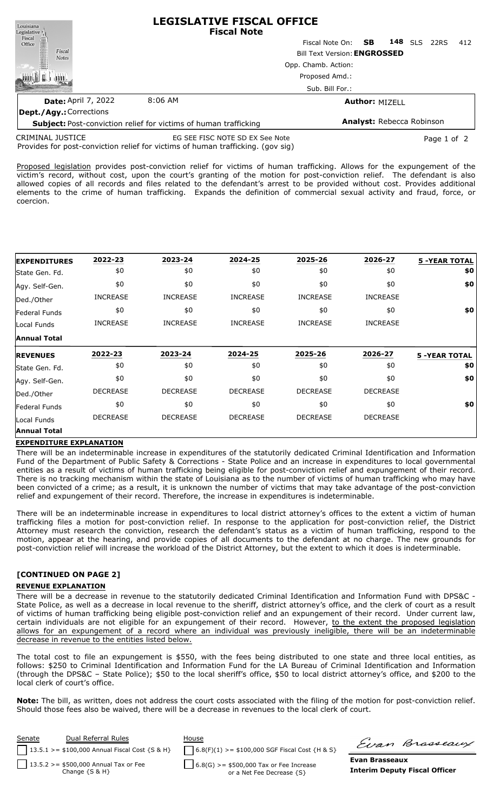| <b>LEGISLATIVE FISCAL OFFICE</b><br><b>Fiscal Note</b>                                               |  |  |
|------------------------------------------------------------------------------------------------------|--|--|
| Fiscal Note On: <b>SB</b><br>148<br><b>SLS</b><br><b>22RS</b><br>412                                 |  |  |
| <b>Bill Text Version: ENGROSSED</b>                                                                  |  |  |
| Opp. Chamb. Action:                                                                                  |  |  |
| Proposed Amd.:                                                                                       |  |  |
| Sub. Bill For.:                                                                                      |  |  |
| <b>Author: MIZELL</b>                                                                                |  |  |
|                                                                                                      |  |  |
| Analyst: Rebecca Robinson<br><b>Subject:</b> Post-conviction relief for victims of human trafficking |  |  |
|                                                                                                      |  |  |

Provides for post-conviction relief for victims of human trafficking. (gov sig) CRIMINAL JUSTICE EG SEE FISC NOTE SD EX See Note Page 1 of 2

Proposed legislation provides post-conviction relief for victims of human trafficking. Allows for the expungement of the victim's record, without cost, upon the court's granting of the motion for post-conviction relief. The defendant is also allowed copies of all records and files related to the defendant's arrest to be provided without cost. Provides additional elements to the crime of human trafficking. Expands the definition of commercial sexual activity and fraud, force, or coercion.

| <b>EXPENDITURES</b>  | 2022-23         | 2023-24         | 2024-25         | 2025-26         | 2026-27         | <b>5 -YEAR TOTAL</b> |
|----------------------|-----------------|-----------------|-----------------|-----------------|-----------------|----------------------|
| State Gen. Fd.       | \$0             | \$0             | \$0             | \$0             | \$0             | \$0                  |
| Agy. Self-Gen.       | \$0             | \$0             | \$0             | \$0             | \$0             | \$0                  |
| Ded./Other           | <b>INCREASE</b> | <b>INCREASE</b> | <b>INCREASE</b> | <b>INCREASE</b> | <b>INCREASE</b> |                      |
| <b>Federal Funds</b> | \$0             | \$0             | \$0             | \$0             | \$0             | \$0                  |
| Local Funds          | <b>INCREASE</b> | <b>INCREASE</b> | <b>INCREASE</b> | <b>INCREASE</b> | <b>INCREASE</b> |                      |
| <b>Annual Total</b>  |                 |                 |                 |                 |                 |                      |
|                      |                 |                 |                 |                 |                 |                      |
| <b>IREVENUES</b>     | 2022-23         | 2023-24         | 2024-25         | 2025-26         | 2026-27         | <b>5 -YEAR TOTAL</b> |
| State Gen. Fd.       | \$0             | \$0             | \$0             | \$0             | \$0             | \$0                  |
| Agy. Self-Gen.       | \$0             | \$0             | \$0             | \$0             | \$0             | \$0                  |
| Ded./Other           | <b>DECREASE</b> | <b>DECREASE</b> | <b>DECREASE</b> | <b>DECREASE</b> | <b>DECREASE</b> |                      |
| <b>Federal Funds</b> | \$0             | \$0             | \$0             | \$0             | \$0             | \$0                  |
| Local Funds          | <b>DECREASE</b> | <b>DECREASE</b> | <b>DECREASE</b> | <b>DECREASE</b> | <b>DECREASE</b> |                      |

## **EXPENDITURE EXPLANATION**

There will be an indeterminable increase in expenditures of the statutorily dedicated Criminal Identification and Information Fund of the Department of Public Safety & Corrections - State Police and an increase in expenditures to local governmental entities as a result of victims of human trafficking being eligible for post-conviction relief and expungement of their record. There is no tracking mechanism within the state of Louisiana as to the number of victims of human trafficking who may have been convicted of a crime; as a result, it is unknown the number of victims that may take advantage of the post-conviction relief and expungement of their record. Therefore, the increase in expenditures is indeterminable.

There will be an indeterminable increase in expenditures to local district attorney's offices to the extent a victim of human trafficking files a motion for post-conviction relief. In response to the application for post-conviction relief, the District Attorney must research the conviction, research the defendant's status as a victim of human trafficking, respond to the motion, appear at the hearing, and provide copies of all documents to the defendant at no charge. The new grounds for post-conviction relief will increase the workload of the District Attorney, but the extent to which it does is indeterminable.

## **[CONTINUED ON PAGE 2]**

## **REVENUE EXPLANATION**

There will be a decrease in revenue to the statutorily dedicated Criminal Identification and Information Fund with DPS&C - State Police, as well as a decrease in local revenue to the sheriff, district attorney's office, and the clerk of court as a result of victims of human trafficking being eligible post-conviction relief and an expungement of their record. Under current law, certain individuals are not eligible for an expungement of their record. However, to the extent the proposed legislation allows for an expungement of a record where an individual was previously ineligible, there will be an indeterminable decrease in revenue to the entities listed below.

The total cost to file an expungement is \$550, with the fees being distributed to one state and three local entities, as follows: \$250 to Criminal Identification and Information Fund for the LA Bureau of Criminal Identification and Information (through the DPS&C – State Police); \$50 to the local sheriff's office, \$50 to local district attorney's office, and \$200 to the local clerk of court's office.

**Note:** The bill, as written, does not address the court costs associated with the filing of the motion for post-conviction relief. Should those fees also be waived, there will be a decrease in revenues to the local clerk of court.

| Dual Referral Rules<br>Senate                     | House                                            | Evan Brasseaux                       |
|---------------------------------------------------|--------------------------------------------------|--------------------------------------|
| $13.5.1$ > = \$100,000 Annual Fiscal Cost {S & H} | $6.8(F)(1)$ >= \$100,000 SGF Fiscal Cost {H & S} |                                      |
| 13.5.2 > = $$500,000$ Annual Tax or Fee           | $6.8(G)$ >= \$500,000 Tax or Fee Increase        | Evan Brasseaux                       |
| Change $\{S \& H\}$                               | or a Net Fee Decrease {S}                        | <b>Interim Deputy Fiscal Officer</b> |